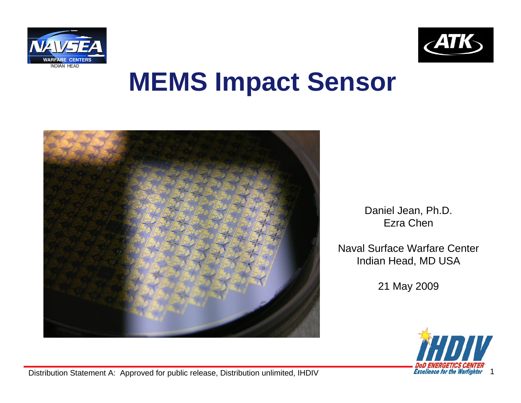



## **MEMS Impact Sensor**



Daniel Jean, Ph.D. Ezra Chen

Naval Surface Warfare CenterIndian Head, MD USA

21 May 2009



Distribution Statement A: Approved for public release, Distribution unlimited, IHDIV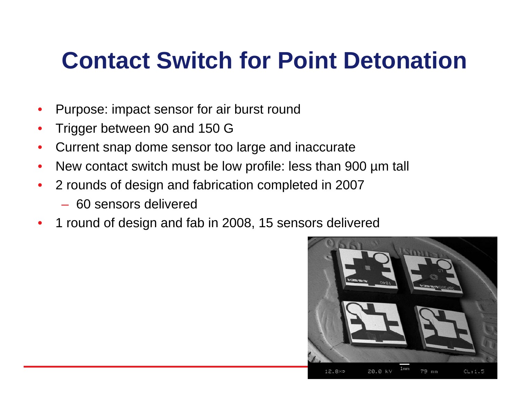### **Contact Switch for Point Detonation**

- Purpose: impact sensor for air burst round
- Trigger between 90 and 150 G
- Current snap dome sensor too large and inaccurate
- New contact switch must be low profile: less than 900 µm tall
- 2 rounds of design and fabrication completed in 2007
	- 60 sensors delivered
- 1 round of design and fab in 2008, 15 sensors delivered

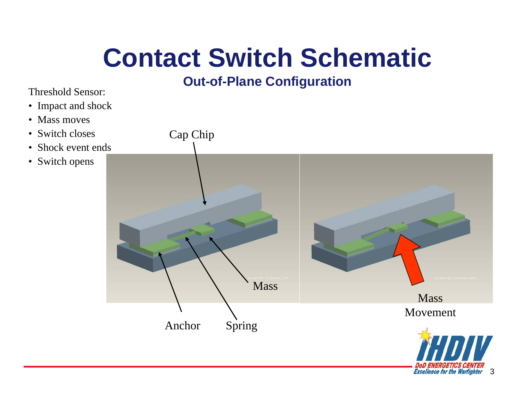# **Contact Switch Schematic**

### **Out-of-Plane Configuration**

Threshold Sensor:

- Impact and shock
- Mass moves
- Switch closes
- Shock event ends
- Switch opens

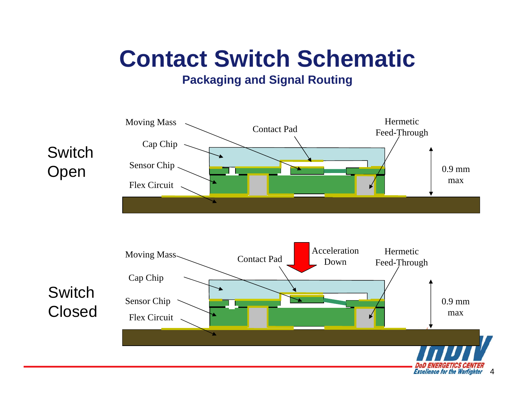### **Contact Switch Schematic**

### **Packaging and Signal Routing**





**Switch** Closed

**Excellence for the Warfighter**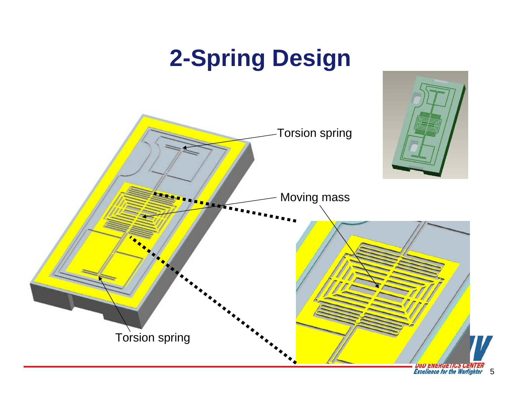## **2-Spring Design**

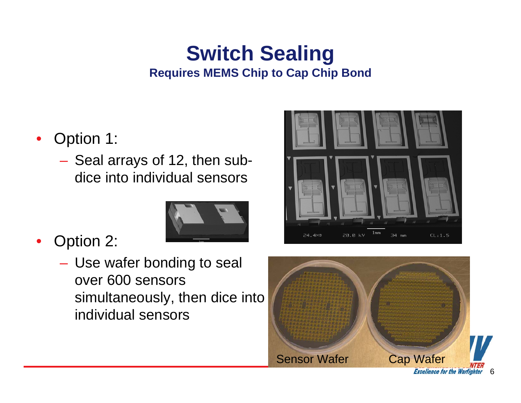### **Switch Sealing Requires MEMS Chip to Cap Chip Bond**

- Option 1:
	- Seal arrays of 12, then subdice into individual sensors



- Option 2:
	- Use wafer bonding to seal over 600 sensors simultaneously, then dice into individual sensors



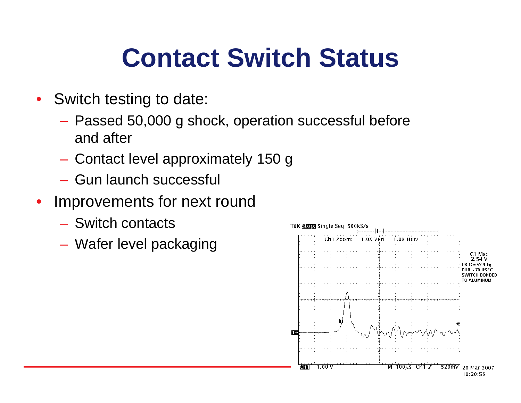# **Contact Switch Status**

- Switch testing to date:
	- Passed 50,000 g shock, operation successful before and after
	- Contact level approximately 150 g
	- Gun launch successful
- Improvements for next round
	- Switch contacts
	- Wafer level packaging

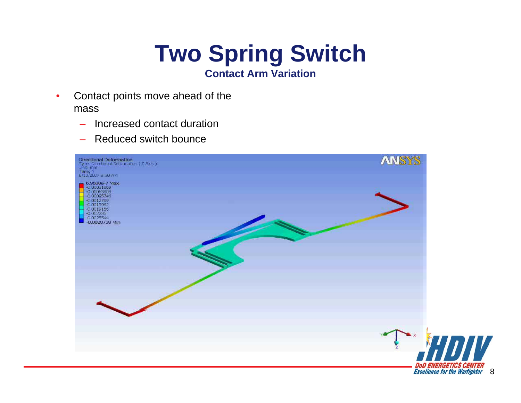# **Two Spring Switch**

- **Contact Arm Variation**
- Contact points move ahead of the mass
	- Increased contact duration
	- Reduced switch bounce

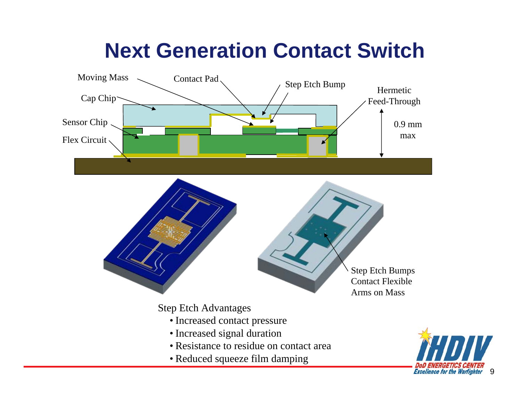### **Next Generation Contact Switch**

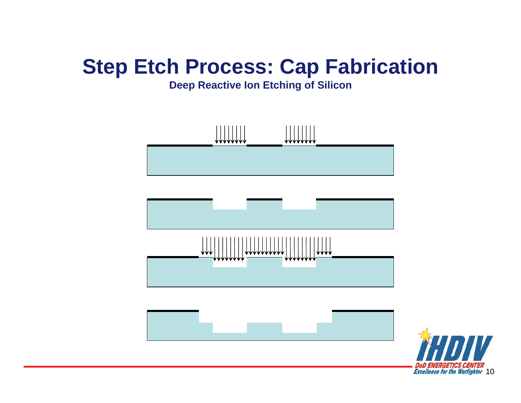### **Step Etch Process: Cap Fabrication**

#### **Deep Reactive Ion Etching of Silicon**